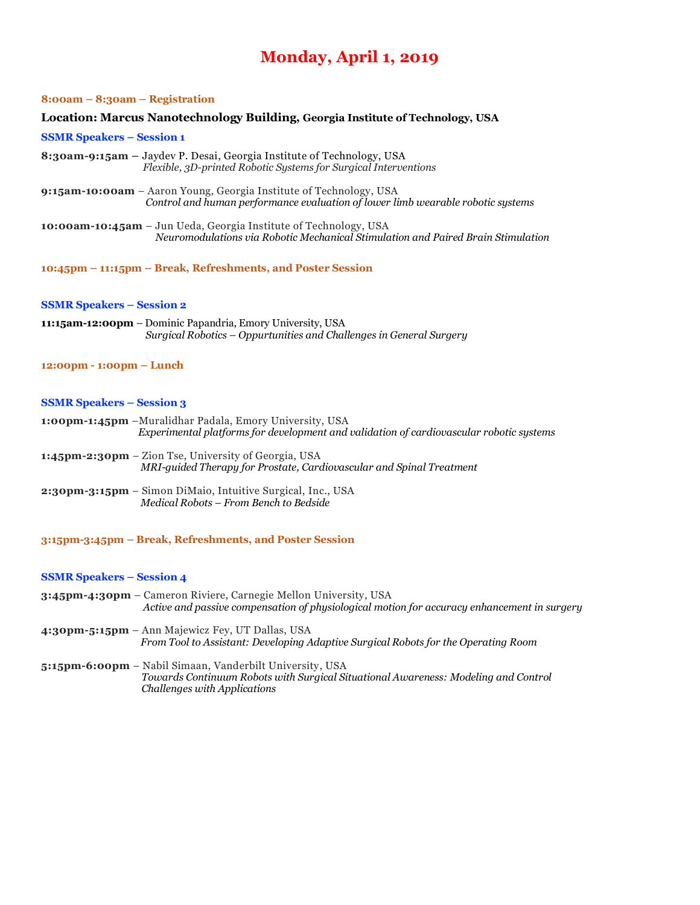## **Monday, April 1, 2019**

#### **8:00am – 8:30am – Registration**

#### **Location: Marcus Nanotechnology Building, Georgia Institute of Technology, USA**

#### **SSMR Speakers – Session 1**

- **8:30am-9:15am –** Jaydev P. Desai, Georgia Institute of Technology, USA *Flexible, 3D-printed Robotic Systems for Surgical Interventions*
- **9:15am-10:00am** Aaron Young, Georgia Institute of Technology, USA *Control and human performance evaluation of lower limb wearable robotic systems*
- **10:00am-10:45am** Jun Ueda, Georgia Institute of Technology, USA  *Neuromodulations via Robotic Mechanical Stimulation and Paired Brain Stimulation*
- **10:45pm – 11:15pm – Break, Refreshments, and Poster Session**

#### **SSMR Speakers – Session 2**

- **11:15am-12:00pm** Dominic Papandria, Emory University, USA  *Surgical Robotics – Oppurtunities and Challenges in General Surgery*
- **12:00pm - 1:00pm – Lunch**

#### **SSMR Speakers – Session 3**

- **1:00pm-1:45pm** –Muralidhar Padala, Emory University, USA *Experimental platforms for development and validation of cardiovascular robotic systems*
- **1:45pm-2:30pm** Zion Tse, University of Georgia, USA *MRI-guided Therapy for Prostate, Cardiovascular and Spinal Treatment*
- **2:30pm-3:15pm** Simon DiMaio, Intuitive Surgical, Inc., USA *Medical Robots – From Bench to Bedside*
- **3:15pm-3:45pm – Break, Refreshments, and Poster Session**

#### **SSMR Speakers – Session 4**

- **3:45pm-4:30pm** Cameron Riviere, Carnegie Mellon University, USA *Active and passive compensation of physiological motion for accuracy enhancement in surgery*
- **4:30pm-5:15pm** Ann Majewicz Fey, UT Dallas, USA *From Tool to Assistant: Developing Adaptive Surgical Robots for the Operating Room*
- **5:15pm-6:00pm** Nabil Simaan, Vanderbilt University, USA  *Towards Continuum Robots with Surgical Situational Awareness: Modeling and Control Challenges with Applications*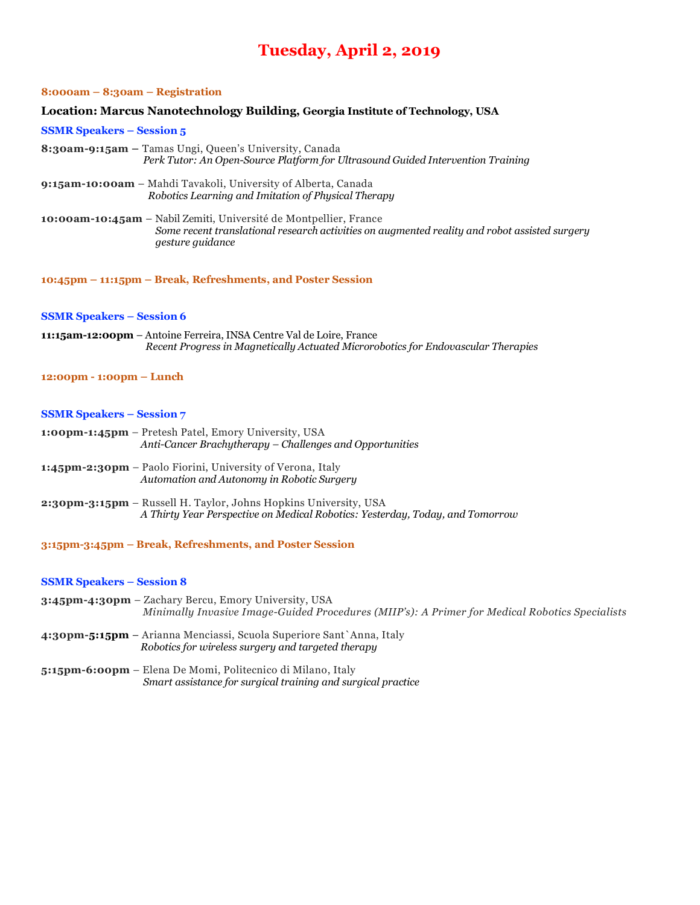## **Tuesday, April 2, 2019**

#### **8:000am – 8:30am – Registration**

#### **Location: Marcus Nanotechnology Building, Georgia Institute of Technology, USA**

#### **SSMR Speakers – Session 5**

- **8:30am-9:15am –** Tamas Ungi, Queen's University, Canada *Perk Tutor: An Open-Source Platform for Ultrasound Guided Intervention Training*
- **9:15am-10:00am** Mahdi Tavakoli, University of Alberta, Canada *Robotics Learning and Imitation of Physical Therapy*
- **10:00am-10:45am** Nabil Zemiti, Université de Montpellier, France  *Some recent translational research activities on augmented reality and robot assisted surgery gesture guidance*

**10:45pm – 11:15pm – Break, Refreshments, and Poster Session**

#### **SSMR Speakers – Session 6**

**11:15am-12:00pm** – Antoine Ferreira, INSA Centre Val de Loire, France  *Recent Progress in Magnetically Actuated Microrobotics for Endovascular Therapies*

## **12:00pm - 1:00pm – Lunch**

## **SSMR Speakers – Session 7**

- **1:00pm-1:45pm** Pretesh Patel, Emory University, USA *Anti-Cancer Brachytherapy – Challenges and Opportunities*
- **1:45pm-2:30pm** Paolo Fiorini, University of Verona, Italy *Automation and Autonomy in Robotic Surgery*
- **2:30pm-3:15pm** Russell H. Taylor, Johns Hopkins University, USA *A Thirty Year Perspective on Medical Robotics: Yesterday, Today, and Tomorrow*
- **3:15pm-3:45pm – Break, Refreshments, and Poster Session**

#### **SSMR Speakers – Session 8**

- **3:45pm-4:30pm** Zachary Bercu, Emory University, USA *Minimally Invasive Image-Guided Procedures (MIIP's): A Primer for Medical Robotics Specialists*
- **4:30pm-5:15pm** Arianna Menciassi, Scuola Superiore Sant`Anna, Italy *Robotics for wireless surgery and targeted therapy*
- **5:15pm-6:00pm** Elena De Momi, Politecnico di Milano, Italy *Smart assistance for surgical training and surgical practice*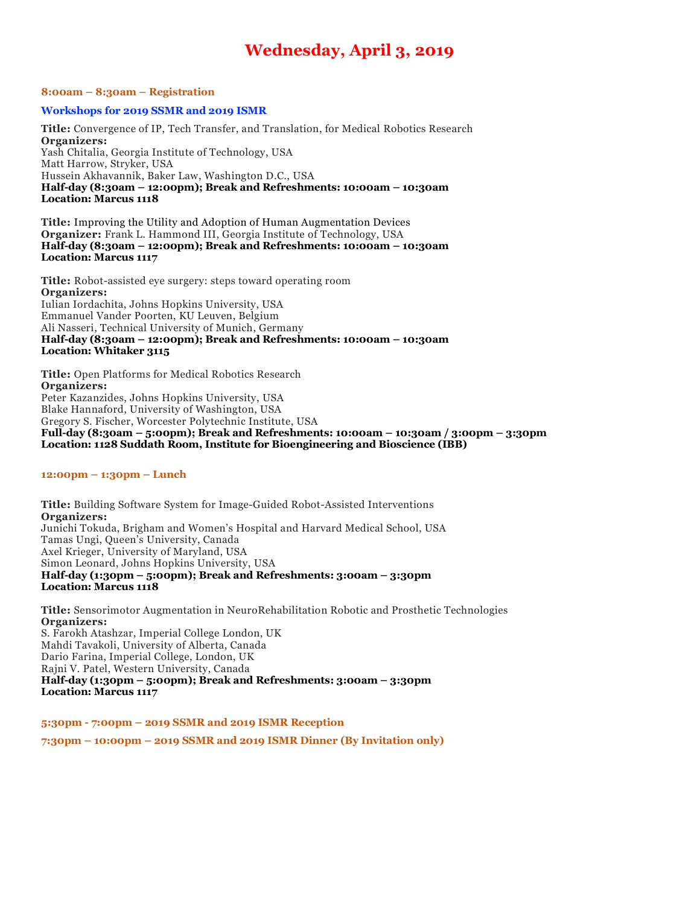## **Wednesday, April 3, 2019**

## **8:00am – 8:30am – Registration**

## **Workshops for 2019 SSMR and 2019 ISMR**

**Title:** Convergence of IP, Tech Transfer, and Translation, for Medical Robotics Research **Organizers:** Yash Chitalia, Georgia Institute of Technology, USA Matt Harrow, Stryker, USA Hussein Akhavannik, Baker Law, Washington D.C., USA **Half-day (8:30am – 12:00pm); Break and Refreshments: 10:00am – 10:30am Location: Marcus 1118**

**Title:** Improving the Utility and Adoption of Human Augmentation Devices **Organizer:** Frank L. Hammond III, Georgia Institute of Technology, USA **Half-day (8:30am – 12:00pm); Break and Refreshments: 10:00am – 10:30am Location: Marcus 1117**

**Title:** Robot-assisted eye surgery: steps toward operating room **Organizers:** Iulian Iordachita, Johns Hopkins University, USA Emmanuel Vander Poorten, KU Leuven, Belgium Ali Nasseri, Technical University of Munich, Germany **Half-day (8:30am – 12:00pm); Break and Refreshments: 10:00am – 10:30am Location: Whitaker 3115**

**Title:** Open Platforms for Medical Robotics Research **Organizers:** Peter Kazanzides, Johns Hopkins University, USA Blake Hannaford, University of Washington, USA Gregory S. Fischer, Worcester Polytechnic Institute, USA **Full-day (8:30am – 5:00pm); Break and Refreshments: 10:00am – 10:30am / 3:00pm – 3:30pm Location: 1128 Suddath Room, Institute for Bioengineering and Bioscience (IBB)**

#### **12:00pm – 1:30pm – Lunch**

**Title:** Building Software System for Image-Guided Robot-Assisted Interventions **Organizers:** Junichi Tokuda, Brigham and Women's Hospital and Harvard Medical School, USA Tamas Ungi, Queen's University, Canada Axel Krieger, University of Maryland, USA Simon Leonard, Johns Hopkins University, USA **Half-day (1:30pm – 5:00pm); Break and Refreshments: 3:00am – 3:30pm Location: Marcus 1118**

**Title:** Sensorimotor Augmentation in NeuroRehabilitation Robotic and Prosthetic Technologies **Organizers:** S. Farokh Atashzar, Imperial College London, UK Mahdi Tavakoli, University of Alberta, Canada Dario Farina, Imperial College, London, UK Rajni V. Patel, Western University, Canada

**Half-day (1:30pm – 5:00pm); Break and Refreshments: 3:00am – 3:30pm Location: Marcus 1117**

**5:30pm - 7:00pm – 2019 SSMR and 2019 ISMR Reception**

**7:30pm – 10:00pm – 2019 SSMR and 2019 ISMR Dinner (By Invitation only)**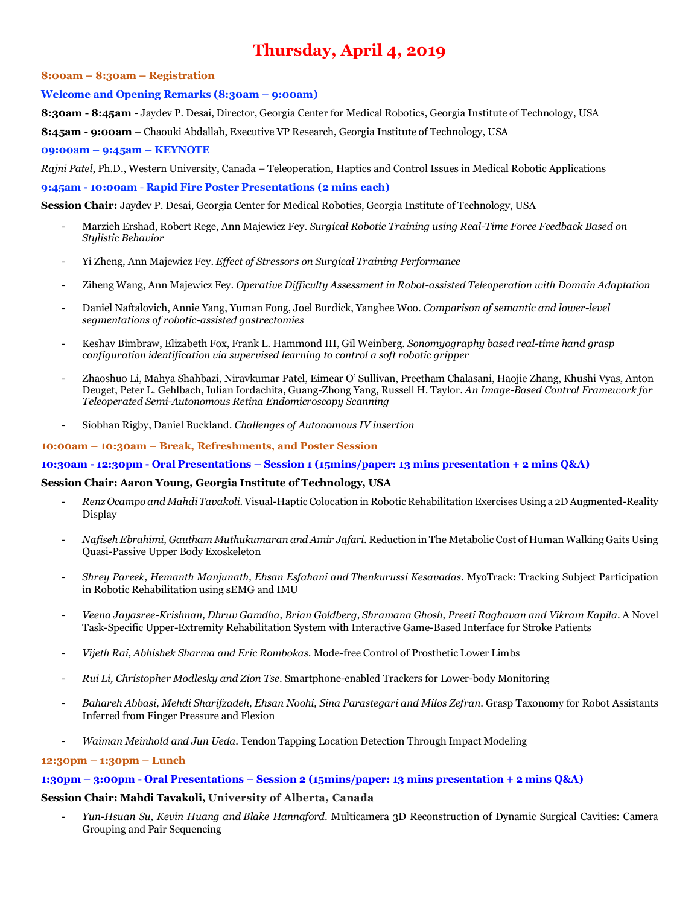# **Thursday, April 4, 2019**

## **8:00am – 8:30am – Registration**

## **Welcome and Opening Remarks (8:30am – 9:00am)**

**8:30am - 8:45am** *-* Jaydev P. Desai, Director, Georgia Center for Medical Robotics, Georgia Institute of Technology, USA

**8:45am - 9:00am** *–* Chaouki Abdallah, Executive VP Research, Georgia Institute of Technology, USA

## **09:00am – 9:45am – KEYNOTE**

*Rajni Patel*, Ph.D., Western University, Canada *–* Teleoperation, Haptics and Control Issues in Medical Robotic Applications

## **9:45am - 10:00am** - **Rapid Fire Poster Presentations (2 mins each)**

**Session Chair:** Jaydev P. Desai, Georgia Center for Medical Robotics, Georgia Institute of Technology, USA

- Marzieh Ershad, Robert Rege, Ann Majewicz Fey. *Surgical Robotic Training using Real-Time Force Feedback Based on Stylistic Behavior*
- Yi Zheng, Ann Majewicz Fey. *Effect of Stressors on Surgical Training Performance*
- Ziheng Wang, Ann Majewicz Fey. *Operative Difficulty Assessment in Robot-assisted Teleoperation with Domain Adaptation*
- Daniel Naftalovich, Annie Yang, Yuman Fong, Joel Burdick, Yanghee Woo. *Comparison of semantic and lower-level segmentations of robotic-assisted gastrectomies*
- Keshav Bimbraw, Elizabeth Fox, Frank L. Hammond III, Gil Weinberg. *Sonomyography based real-time hand grasp configuration identification via supervised learning to control a soft robotic gripper*
- Zhaoshuo Li, Mahya Shahbazi, Niravkumar Patel, Eimear O' Sullivan, Preetham Chalasani, Haojie Zhang, Khushi Vyas, Anton Deuget, Peter L. Gehlbach, Iulian Iordachita, Guang-Zhong Yang, Russell H. Taylor. *An Image-Based Control Framework for Teleoperated Semi-Autonomous Retina Endomicroscopy Scanning*
- Siobhan Rigby, Daniel Buckland. *Challenges of Autonomous IV insertion*

## **10:00am – 10:30am – Break, Refreshments, and Poster Session**

## **10:30am - 12:30pm - Oral Presentations – Session 1 (15mins/paper: 13 mins presentation + 2 mins Q&A)**

## **Session Chair: Aaron Young, Georgia Institute of Technology, USA**

- *Renz Ocampo and Mahdi Tavakoli*. Visual-Haptic Colocation in Robotic Rehabilitation Exercises Using a 2D Augmented-Reality Display
- *Nafiseh Ebrahimi, Gautham Muthukumaran and Amir Jafari*. Reduction in The Metabolic Cost of Human Walking Gaits Using Quasi-Passive Upper Body Exoskeleton
- *Shrey Pareek, Hemanth Manjunath, Ehsan Esfahani and Thenkurussi Kesavadas*. MyoTrack: Tracking Subject Participation in Robotic Rehabilitation using sEMG and IMU
- *Veena Jayasree-Krishnan, Dhruv Gamdha, Brian Goldberg, Shramana Ghosh, Preeti Raghavan and Vikram Kapila*. A Novel Task-Specific Upper-Extremity Rehabilitation System with Interactive Game-Based Interface for Stroke Patients
- *Vijeth Rai, Abhishek Sharma and Eric Rombokas*. Mode-free Control of Prosthetic Lower Limbs
- *Rui Li, Christopher Modlesky and Zion Tse*. Smartphone-enabled Trackers for Lower-body Monitoring
- *Bahareh Abbasi, Mehdi Sharifzadeh, Ehsan Noohi, Sina Parastegari and Milos Zefran*. Grasp Taxonomy for Robot Assistants Inferred from Finger Pressure and Flexion
- *Waiman Meinhold and Jun Ueda*. Tendon Tapping Location Detection Through Impact Modeling

## **12:30pm – 1:30pm – Lunch**

**1:30pm – 3:00pm - Oral Presentations – Session 2 (15mins/paper: 13 mins presentation + 2 mins Q&A)**

## **Session Chair: Mahdi Tavakoli, University of Alberta, Canada**

- *Yun-Hsuan Su, Kevin Huang and Blake Hannaford*. Multicamera 3D Reconstruction of Dynamic Surgical Cavities: Camera Grouping and Pair Sequencing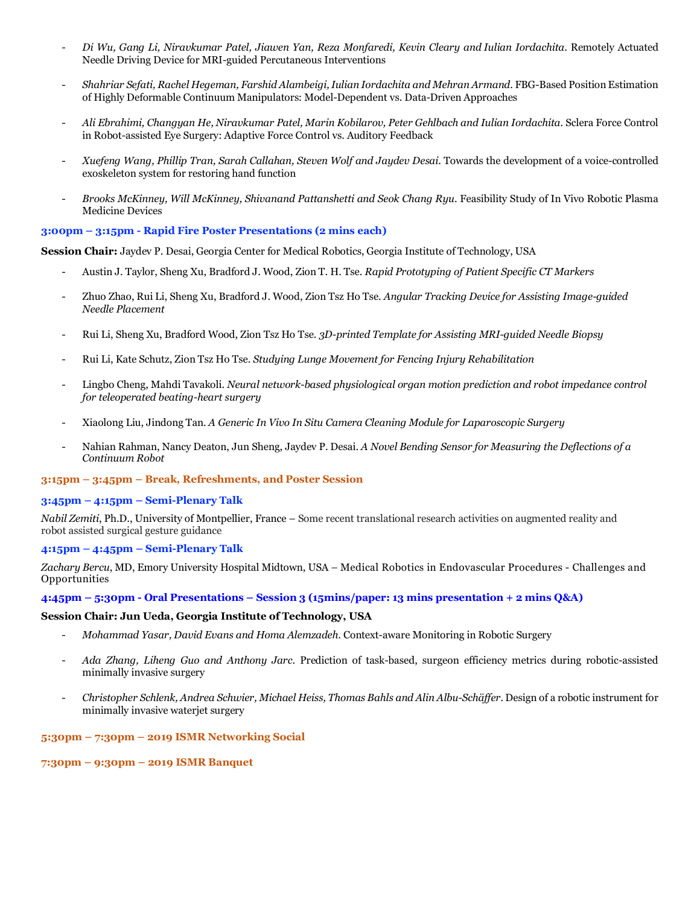- *Di Wu, Gang Li, Niravkumar Patel, Jiawen Yan, Reza Monfaredi, Kevin Cleary and Iulian Iordachita*. Remotely Actuated Needle Driving Device for MRI-guided Percutaneous Interventions
- *Shahriar Sefati, Rachel Hegeman, Farshid Alambeigi, Iulian Iordachita and Mehran Armand*. FBG-Based Position Estimation of Highly Deformable Continuum Manipulators: Model-Dependent vs. Data-Driven Approaches
- *Ali Ebrahimi, Changyan He, Niravkumar Patel, Marin Kobilarov, Peter Gehlbach and Iulian Iordachita*. Sclera Force Control in Robot-assisted Eye Surgery: Adaptive Force Control vs. Auditory Feedback
- *Xuefeng Wang, Phillip Tran, Sarah Callahan, Steven Wolf and Jaydev Desai*. Towards the development of a voice-controlled exoskeleton system for restoring hand function
- *Brooks McKinney, Will McKinney, Shivanand Pattanshetti and Seok Chang Ryu*. Feasibility Study of In Vivo Robotic Plasma Medicine Devices

## **3:00pm – 3:15pm - Rapid Fire Poster Presentations (2 mins each)**

**Session Chair:** Jaydev P. Desai, Georgia Center for Medical Robotics, Georgia Institute of Technology, USA

- Austin J. Taylor, Sheng Xu, Bradford J. Wood, Zion T. H. Tse. *Rapid Prototyping of Patient Specific CT Markers*
- Zhuo Zhao, Rui Li, Sheng Xu, Bradford J. Wood, Zion Tsz Ho Tse. *Angular Tracking Device for Assisting Image-guided Needle Placement*
- Rui Li, Sheng Xu, Bradford Wood, Zion Tsz Ho Tse. *3D-printed Template for Assisting MRI-guided Needle Biopsy*
- Rui Li, Kate Schutz, Zion Tsz Ho Tse. *Studying Lunge Movement for Fencing Injury Rehabilitation*
- Lingbo Cheng, Mahdi Tavakoli. *Neural network-based physiological organ motion prediction and robot impedance control for teleoperated beating-heart surgery*
- Xiaolong Liu, Jindong Tan. *A Generic In Vivo In Situ Camera Cleaning Module for Laparoscopic Surgery*
- Nahian Rahman, Nancy Deaton, Jun Sheng, Jaydev P. Desai. *A Novel Bending Sensor for Measuring the Deflections of a Continuum Robot*

## **3:15pm – 3:45pm – Break, Refreshments, and Poster Session**

## **3:45pm – 4:15pm – Semi-Plenary Talk**

*Nabil Zemiti*, Ph.D., University of Montpellier, France *–* Some recent translational research activities on augmented reality and robot assisted surgical gesture guidance

## **4:15pm – 4:45pm – Semi-Plenary Talk**

*Zachary Bercu*, MD, Emory University Hospital Midtown, USA *–* Medical Robotics in Endovascular Procedures - Challenges and Opportunities

## **4:45pm – 5:30pm - Oral Presentations – Session 3 (15mins/paper: 13 mins presentation + 2 mins Q&A)**

## **Session Chair: Jun Ueda, Georgia Institute of Technology, USA**

- *Mohammad Yasar, David Evans and Homa Alemzadeh*. Context-aware Monitoring in Robotic Surgery
- *Ada Zhang, Liheng Guo and Anthony Jarc*. Prediction of task-based, surgeon efficiency metrics during robotic-assisted minimally invasive surgery
- *Christopher Schlenk, Andrea Schwier, Michael Heiss, Thomas Bahls and Alin Albu-Schäffer*. Design of a robotic instrument for minimally invasive waterjet surgery

## **5:30pm – 7:30pm – 2019 ISMR Networking Social**

**7:30pm – 9:30pm – 2019 ISMR Banquet**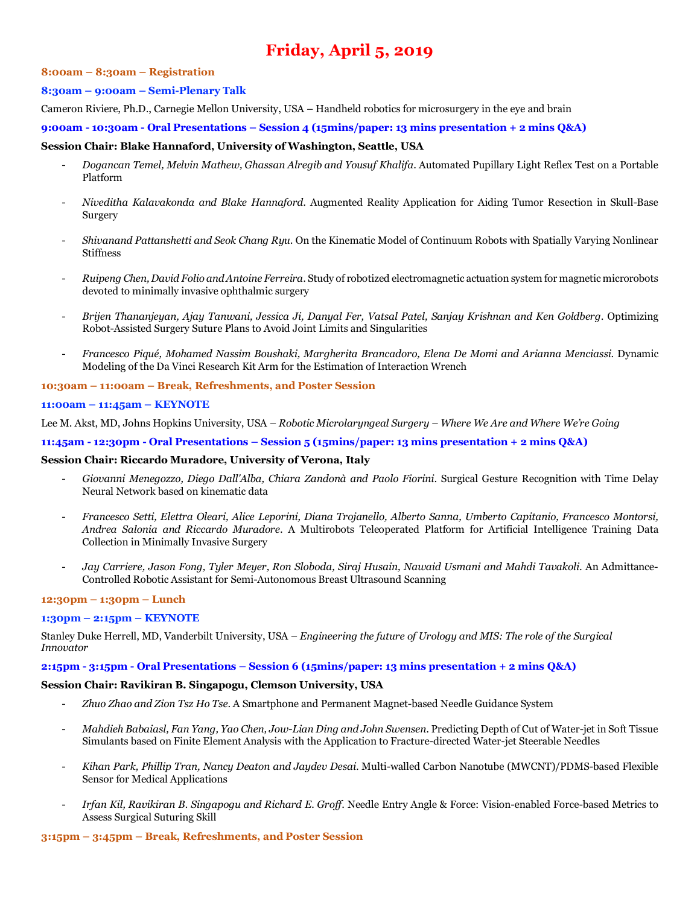# **Friday, April 5, 2019**

#### **8:00am – 8:30am – Registration**

#### **8:30am – 9:00am – Semi-Plenary Talk**

Cameron Riviere, Ph.D., Carnegie Mellon University, USA *–* Handheld robotics for microsurgery in the eye and brain

**9:00am - 10:30am - Oral Presentations – Session 4 (15mins/paper: 13 mins presentation + 2 mins Q&A)**

#### **Session Chair: Blake Hannaford, University of Washington, Seattle, USA**

- *Dogancan Temel, Melvin Mathew, Ghassan Alregib and Yousuf Khalifa*. Automated Pupillary Light Reflex Test on a Portable Platform
- *Niveditha Kalavakonda and Blake Hannaford*. Augmented Reality Application for Aiding Tumor Resection in Skull-Base Surgery
- *Shivanand Pattanshetti and Seok Chang Ryu*. On the Kinematic Model of Continuum Robots with Spatially Varying Nonlinear Stiffness
- *Ruipeng Chen, David Folio and Antoine Ferreira*. Study of robotized electromagnetic actuation system for magnetic microrobots devoted to minimally invasive ophthalmic surgery
- *Brijen Thananjeyan, Ajay Tanwani, Jessica Ji, Danyal Fer, Vatsal Patel, Sanjay Krishnan and Ken Goldberg*. Optimizing Robot-Assisted Surgery Suture Plans to Avoid Joint Limits and Singularities
- *Francesco Piqué, Mohamed Nassim Boushaki, Margherita Brancadoro, Elena De Momi and Arianna Menciassi*. Dynamic Modeling of the Da Vinci Research Kit Arm for the Estimation of Interaction Wrench

#### **10:30am – 11:00am – Break, Refreshments, and Poster Session**

#### **11:00am – 11:45am – KEYNOTE**

Lee M. Akst, MD, Johns Hopkins University, USA *– Robotic Microlaryngeal Surgery – Where We Are and Where We're Going*

**11:45am - 12:30pm - Oral Presentations – Session 5 (15mins/paper: 13 mins presentation + 2 mins Q&A)**

#### **Session Chair: Riccardo Muradore, University of Verona, Italy**

- *Giovanni Menegozzo, Diego Dall'Alba, Chiara Zandonà and Paolo Fiorini*. Surgical Gesture Recognition with Time Delay Neural Network based on kinematic data
- *Francesco Setti, Elettra Oleari, Alice Leporini, Diana Trojanello, Alberto Sanna, Umberto Capitanio, Francesco Montorsi, Andrea Salonia and Riccardo Muradore*. A Multirobots Teleoperated Platform for Artificial Intelligence Training Data Collection in Minimally Invasive Surgery
- *Jay Carriere, Jason Fong, Tyler Meyer, Ron Sloboda, Siraj Husain, Nawaid Usmani and Mahdi Tavakoli*. An Admittance-Controlled Robotic Assistant for Semi-Autonomous Breast Ultrasound Scanning

#### **12:30pm – 1:30pm – Lunch**

## **1:30pm – 2:15pm – KEYNOTE**

Stanley Duke Herrell, MD, Vanderbilt University, USA *– Engineering the future of Urology and MIS: The role of the Surgical Innovator*

## **2:15pm - 3:15pm - Oral Presentations – Session 6 (15mins/paper: 13 mins presentation + 2 mins Q&A)**

## **Session Chair: Ravikiran B. Singapogu, Clemson University, USA**

- *Zhuo Zhao and Zion Tsz Ho Tse*. A Smartphone and Permanent Magnet-based Needle Guidance System
- *Mahdieh Babaiasl, Fan Yang, Yao Chen, Jow-Lian Ding and John Swensen*. Predicting Depth of Cut of Water-jet in Soft Tissue Simulants based on Finite Element Analysis with the Application to Fracture-directed Water-jet Steerable Needles
- *Kihan Park, Phillip Tran, Nancy Deaton and Jaydev Desai*. Multi-walled Carbon Nanotube (MWCNT)/PDMS-based Flexible Sensor for Medical Applications
- *Irfan Kil, Ravikiran B. Singapogu and Richard E. Groff*. Needle Entry Angle & Force: Vision-enabled Force-based Metrics to Assess Surgical Suturing Skill

#### **3:15pm – 3:45pm – Break, Refreshments, and Poster Session**